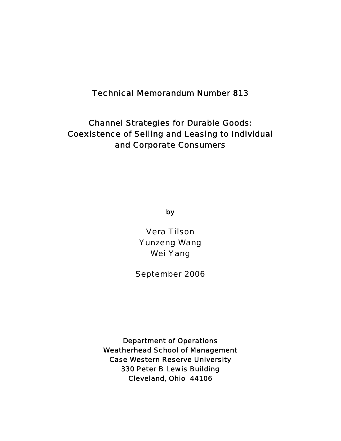Technical Memorandum Number 813

# Channel Strategies for Durable Goods: Coexistence of Selling and Leasing to Individual and Corporate Consumers

by

Vera Tilson Yunzeng Wang Wei Yang

September 2006

Department of Operations Weatherhead School of Management Case Western Reserve University 330 Peter B Lewis Building Cleveland, Ohio 44106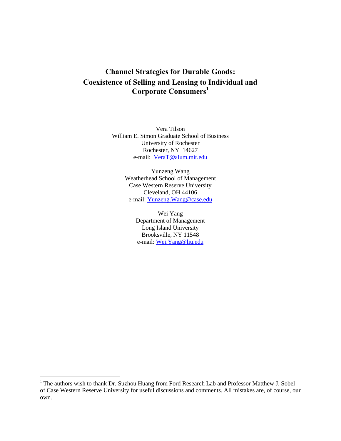# **Channel Strategies for Durable Goods: Coexistence of Selling and Leasing to Individual and Corporate Consumers<sup>1</sup>**

Vera Tilson William E. Simon Graduate School of Business University of Rochester Rochester, NY 14627 e-mail: VeraT@alum.mit.edu

> Yunzeng Wang Weatherhead School of Management Case Western Reserve University Cleveland, OH 44106 e-mail: Yunzeng.Wang@case.edu

> > Wei Yang Department of Management Long Island University Brooksville, NY 11548 e-mail: Wei.Yang@liu.edu

 $\overline{a}$ 

<sup>&</sup>lt;sup>1</sup> The authors wish to thank Dr. Suzhou Huang from Ford Research Lab and Professor Matthew J. Sobel of Case Western Reserve University for useful discussions and comments. All mistakes are, of course, our own.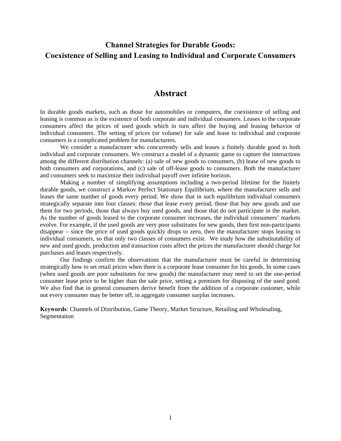# **Channel Strategies for Durable Goods: Coexistence of Selling and Leasing to Individual and Corporate Consumers**

## **Abstract**

In durable goods markets, such as those for automobiles or computers, the coexistence of selling and leasing is common as is the existence of both corporate and individual consumers. Leases to the corporate consumers affect the prices of used goods which in turn affect the buying and leasing behavior of individual consumers. The setting of prices (or volume) for sale and lease to individual and corporate consumers is a complicated problem for manufacturers.

We consider a manufacturer who concurrently sells and leases a finitely durable good to both individual and corporate consumers. We construct a model of a dynamic game to capture the interactions among the different distribution channels: (a) sale of new goods to consumers, (b) lease of new goods to both consumers and corporations, and (c) sale of off-lease goods to consumers. Both the manufacturer and consumers seek to maximize their individual payoff over infinite horizon.

Making a number of simplifying assumptions including a two-period lifetime for the finitely durable goods, we construct a Markov Perfect Stationary Equilibrium, where the manufacturer sells and leases the same number of goods every period. We show that in such equilibrium individual consumers strategically separate into four classes: those that lease every period, those that buy new goods and use them for two periods, those that always buy used goods, and those that do not participate in the market. As the number of goods leased to the corporate consumer increases, the individual consumers' markets evolve. For example, if the used goods are very poor substitutes for new goods, then first non-participants disappear – since the price of used goods quickly drops to zero, then the manufacturer stops leasing to individual consumers, so that only two classes of consumers exist. We study how the substitutability of new and used goods, production and transaction costs affect the prices the manufacturer should charge for purchases and leases respectively.

Our findings confirm the observations that the manufacturer must be careful in determining strategically how to set retail prices when there is a corporate lease consumer for his goods. In some cases (when used goods are poor substitutes for new goods) the manufacturer may need to set the one-period consumer lease price to be higher than the sale price, setting a premium for disposing of the used good. We also find that in general consumers derive benefit from the addition of a corporate customer, while not every consumer may be better off, in aggregate consumer surplus increases.

**Keywords**: Channels of Distribution, Game Theory, Market Structure, Retailing and Wholesaling, Segmentation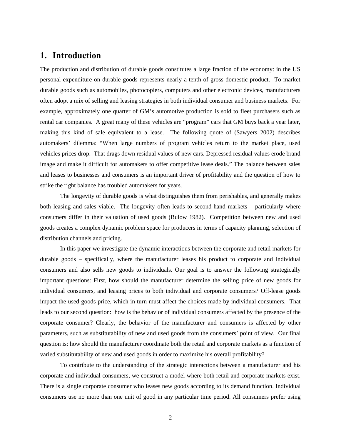## **1. Introduction**

The production and distribution of durable goods constitutes a large fraction of the economy: in the US personal expenditure on durable goods represents nearly a tenth of gross domestic product. To market durable goods such as automobiles, photocopiers, computers and other electronic devices, manufacturers often adopt a mix of selling and leasing strategies in both individual consumer and business markets. For example, approximately one quarter of GM's automotive production is sold to fleet purchasers such as rental car companies. A great many of these vehicles are "program" cars that GM buys back a year later, making this kind of sale equivalent to a lease. The following quote of (Sawyers 2002) describes automakers' dilemma: "When large numbers of program vehicles return to the market place, used vehicles prices drop. That drags down residual values of new cars. Depressed residual values erode brand image and make it difficult for automakers to offer competitive lease deals." The balance between sales and leases to businesses and consumers is an important driver of profitability and the question of how to strike the right balance has troubled automakers for years.

The longevity of durable goods is what distinguishes them from perishables, and generally makes both leasing and sales viable. The longevity often leads to second-hand markets – particularly where consumers differ in their valuation of used goods (Bulow 1982). Competition between new and used goods creates a complex dynamic problem space for producers in terms of capacity planning, selection of distribution channels and pricing.

In this paper we investigate the dynamic interactions between the corporate and retail markets for durable goods – specifically, where the manufacturer leases his product to corporate and individual consumers and also sells new goods to individuals. Our goal is to answer the following strategically important questions: First, how should the manufacturer determine the selling price of new goods for individual consumers, and leasing prices to both individual and corporate consumers? Off-lease goods impact the used goods price, which in turn must affect the choices made by individual consumers. That leads to our second question: how is the behavior of individual consumers affected by the presence of the corporate consumer? Clearly, the behavior of the manufacturer and consumers is affected by other parameters, such as substitutability of new and used goods from the consumers' point of view. Our final question is: how should the manufacturer coordinate both the retail and corporate markets as a function of varied substitutability of new and used goods in order to maximize his overall profitability?

To contribute to the understanding of the strategic interactions between a manufacturer and his corporate and individual consumers, we construct a model where both retail and corporate markets exist. There is a single corporate consumer who leases new goods according to its demand function. Individual consumers use no more than one unit of good in any particular time period. All consumers prefer using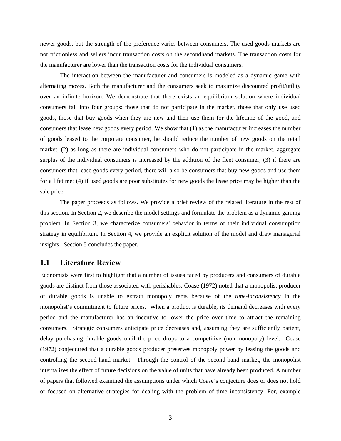newer goods, but the strength of the preference varies between consumers. The used goods markets are not frictionless and sellers incur transaction costs on the secondhand markets. The transaction costs for the manufacturer are lower than the transaction costs for the individual consumers.

The interaction between the manufacturer and consumers is modeled as a dynamic game with alternating moves. Both the manufacturer and the consumers seek to maximize discounted profit/utility over an infinite horizon. We demonstrate that there exists an equilibrium solution where individual consumers fall into four groups: those that do not participate in the market, those that only use used goods, those that buy goods when they are new and then use them for the lifetime of the good, and consumers that lease new goods every period. We show that (1) as the manufacturer increases the number of goods leased to the corporate consumer, he should reduce the number of new goods on the retail market, (2) as long as there are individual consumers who do not participate in the market, aggregate surplus of the individual consumers is increased by the addition of the fleet consumer; (3) if there are consumers that lease goods every period, there will also be consumers that buy new goods and use them for a lifetime; (4) if used goods are poor substitutes for new goods the lease price may be higher than the sale price.

The paper proceeds as follows. We provide a brief review of the related literature in the rest of this section. In Section 2, we describe the model settings and formulate the problem as a dynamic gaming problem. In Section 3, we characterize consumers' behavior in terms of their individual consumption strategy in equilibrium. In Section 4, we provide an explicit solution of the model and draw managerial insights. Section 5 concludes the paper.

#### **1.1 Literature Review**

Economists were first to highlight that a number of issues faced by producers and consumers of durable goods are distinct from those associated with perishables. Coase (1972) noted that a monopolist producer of durable goods is unable to extract monopoly rents because of the *time-inconsistency* in the monopolist's commitment to future prices. When a product is durable, its demand decreases with every period and the manufacturer has an incentive to lower the price over time to attract the remaining consumers. Strategic consumers anticipate price decreases and, assuming they are sufficiently patient, delay purchasing durable goods until the price drops to a competitive (non-monopoly) level. Coase (1972) conjectured that a durable goods producer preserves monopoly power by leasing the goods and controlling the second-hand market. Through the control of the second-hand market, the monopolist internalizes the effect of future decisions on the value of units that have already been produced. A number of papers that followed examined the assumptions under which Coase's conjecture does or does not hold or focused on alternative strategies for dealing with the problem of time inconsistency. For, example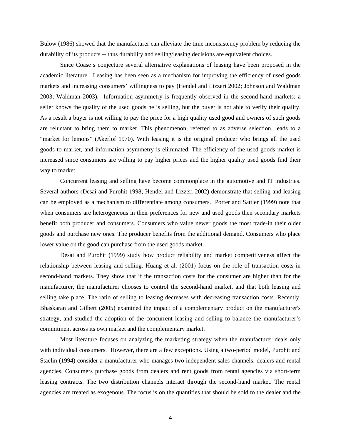Bulow (1986) showed that the manufacturer can alleviate the time inconsistency problem by reducing the durability of its products -- thus durability and selling/leasing decisions are equivalent choices.

Since Coase's conjecture several alternative explanations of leasing have been proposed in the academic literature. Leasing has been seen as a mechanism for improving the efficiency of used goods markets and increasing consumers' willingness to pay (Hendel and Lizzeri 2002; Johnson and Waldman 2003; Waldman 2003). Information asymmetry is frequently observed in the second-hand markets: a seller knows the quality of the used goods he is selling, but the buyer is not able to verify their quality. As a result a buyer is not willing to pay the price for a high quality used good and owners of such goods are reluctant to bring them to market. This phenomenon, referred to as adverse selection, leads to a "market for lemons" (Akerlof 1970). With leasing it is the original producer who brings all the used goods to market, and information asymmetry is eliminated. The efficiency of the used goods market is increased since consumers are willing to pay higher prices and the higher quality used goods find their way to market.

Concurrent leasing and selling have become commonplace in the automotive and IT industries. Several authors (Desai and Purohit 1998; Hendel and Lizzeri 2002) demonstrate that selling and leasing can be employed as a mechanism to differentiate among consumers. Porter and Sattler (1999) note that when consumers are heterogeneous in their preferences for new and used goods then secondary markets benefit both producer and consumers. Consumers who value newer goods the most trade-in their older goods and purchase new ones. The producer benefits from the additional demand. Consumers who place lower value on the good can purchase from the used goods market.

Desai and Purohit (1999) study how product reliability and market competitiveness affect the relationship between leasing and selling. Huang et al. (2001) focus on the role of transaction costs in second-hand markets. They show that if the transaction costs for the consumer are higher than for the manufacturer, the manufacturer chooses to control the second-hand market, and that both leasing and selling take place. The ratio of selling to leasing decreases with decreasing transaction costs. Recently, Bhaskaran and Gilbert (2005) examined the impact of a complementary product on the manufacturer's strategy, and studied the adoption of the concurrent leasing and selling to balance the manufacturer's commitment across its own market and the complementary market.

Most literature focuses on analyzing the marketing strategy when the manufacturer deals only with individual consumers. However, there are a few exceptions. Using a two-period model, Purohit and Staelin (1994) consider a manufacturer who manages two independent sales channels: dealers and rental agencies. Consumers purchase goods from dealers and rent goods from rental agencies via short-term leasing contracts. The two distribution channels interact through the second-hand market. The rental agencies are treated as exogenous. The focus is on the quantities that should be sold to the dealer and the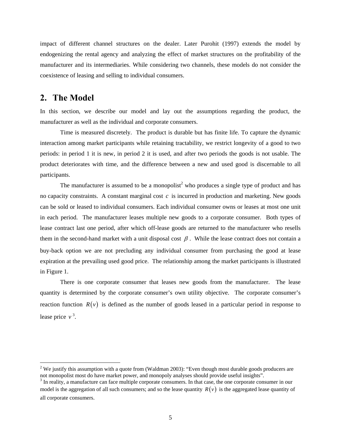impact of different channel structures on the dealer. Later Purohit (1997) extends the model by endogenizing the rental agency and analyzing the effect of market structures on the profitability of the manufacturer and its intermediaries. While considering two channels, these models do not consider the coexistence of leasing and selling to individual consumers.

## **2. The Model**

 $\overline{a}$ 

In this section, we describe our model and lay out the assumptions regarding the product, the manufacturer as well as the individual and corporate consumers.

Time is measured discretely. The product is durable but has finite life. To capture the dynamic interaction among market participants while retaining tractability, we restrict longevity of a good to two periods: in period 1 it is new, in period 2 it is used, and after two periods the goods is not usable. The product deteriorates with time, and the difference between a new and used good is discernable to all participants.

The manufacturer is assumed to be a monopolist<sup>2</sup> who produces a single type of product and has no capacity constraints. A constant marginal cost *c* is incurred in production and marketing. New goods can be sold or leased to individual consumers. Each individual consumer owns or leases at most one unit in each period. The manufacturer leases multiple new goods to a corporate consumer. Both types of lease contract last one period, after which off-lease goods are returned to the manufacturer who resells them in the second-hand market with a unit disposal cost  $\beta$ . While the lease contract does not contain a buy-back option we are not precluding any individual consumer from purchasing the good at lease expiration at the prevailing used good price. The relationship among the market participants is illustrated in Figure 1.

There is one corporate consumer that leases new goods from the manufacturer. The lease quantity is determined by the corporate consumer's own utility objective. The corporate consumer's reaction function  $R(v)$  is defined as the number of goods leased in a particular period in response to lease price *v* 3 .

<sup>&</sup>lt;sup>2</sup> We justify this assumption with a quote from (Waldman 2003): "Even though most durable goods producers are not monopolist most do have market power, and monopoly analyses should provide useful insights".

<sup>&</sup>lt;sup>3</sup> In reality, a manufacture can face multiple corporate consumers. In that case, the one corporate consumer in our model is the aggregation of all such consumers; and so the lease quantity  $R(v)$  is the aggregated lease quantity of all corporate consumers.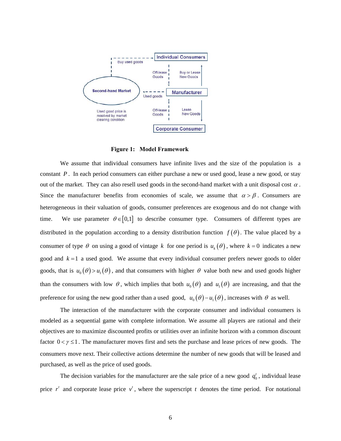

**Figure 1: Model Framework** 

We assume that individual consumers have infinite lives and the size of the population is a constant *P*. In each period consumers can either purchase a new or used good, lease a new good, or stay out of the market. They can also resell used goods in the second-hand market with a unit disposal cost  $\alpha$ . Since the manufacturer benefits from economies of scale, we assume that  $\alpha > \beta$ . Consumers are heterogeneous in their valuation of goods, consumer preferences are exogenous and do not change with time. We use parameter  $\theta \in [0,1]$  to describe consumer type. Consumers of different types are distributed in the population according to a density distribution function  $f(\theta)$ . The value placed by a consumer of type  $\theta$  on using a good of vintage k for one period is  $u_k(\theta)$ , where  $k = 0$  indicates a new good and  $k = 1$  a used good. We assume that every individual consumer prefers newer goods to older goods, that is  $u_0(\theta) > u_1(\theta)$ , and that consumers with higher  $\theta$  value both new and used goods higher than the consumers with low  $\theta$ , which implies that both  $u_0(\theta)$  and  $u_1(\theta)$  are increasing, and that the preference for using the new good rather than a used good,  $u_0(\theta) - u_1(\theta)$ , increases with  $\theta$  as well.

The interaction of the manufacturer with the corporate consumer and individual consumers is modeled as a sequential game with complete information. We assume all players are rational and their objectives are to maximize discounted profits or utilities over an infinite horizon with a common discount factor  $0 < \gamma \leq 1$ . The manufacturer moves first and sets the purchase and lease prices of new goods. The consumers move next. Their collective actions determine the number of new goods that will be leased and purchased, as well as the price of used goods.

The decision variables for the manufacturer are the sale price of a new good  $q_0^t$ , individual lease price  $r^t$  and corporate lease price  $v^t$ , where the superscript *t* denotes the time period. For notational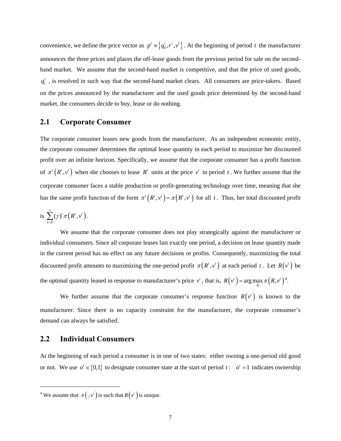convenience, we define the price vector as  $p' = \{q'_0, r', v'\}$ . At the beginning of period *t* the manufacturer announces the three prices and places the off-lease goods from the previous period for sale on the secondhand market. We assume that the second-hand market is competitive, and that the price of used goods,  $q_1^t$ , is resolved in such way that the second-hand market clears. All consumers are price-takers. Based on the prices announced by the manufacturer and the used goods price determined by the second-hand market, the consumers decide to buy, lease or do nothing.

### **2.1 Corporate Consumer**

The corporate consumer leases new goods from the manufacturer. As an independent economic entity, the corporate consumer determines the optimal lease quantity in each period to maximize her discounted profit over an infinite horizon. Specifically, we assume that the corporate consumer has a profit function of  $\pi^{t}( R^{t}, v^{t})$  when she chooses to lease  $R^{t}$  units at the price  $v^{t}$  in period t. We further assume that the corporate consumer faces a stable production or profit-generating technology over time, meaning that she has the same profit function of the form  $\pi^{t}( R^{t}, v^{t}) = \pi(R^{t}, v^{t})$  for all *t*. Thus, her total discounted profit

is 
$$
\sum_{t=0}^{\infty} (\gamma)^t \pi \left( R^t, v^t \right).
$$

We assume that the corporate consumer does not play strategically against the manufacturer or individual consumers. Since all corporate leases last exactly one period, a decision on lease quantity made in the current period has no effect on any future decisions or profits. Consequently, maximizing the total discounted profit amounts to maximizing the one-period profit  $\pi(R^t, v^t)$  at each period t. Let  $R(v^t)$  be the optimal quantity leased in response to manufacturer's price  $v'$ , that is,  $R(v') = \arg \max_{R} \pi (R, v')^4$ .

We further assume that the corporate consumer's response function  $R(v^t)$  is known to the manufacturer. Since there is no capacity constraint for the manufacturer, the corporate consumer's demand can always be satisfied.

## **2.2 Individual Consumers**

 $\overline{a}$ 

At the beginning of each period a consumer is in one of two states: either owning a one-period old good or not. We use  $o^t \in \{0,1\}$  to designate consumer state at the start of period *t* :  $o^t = 1$  indicates ownership

<sup>&</sup>lt;sup>4</sup> We assume that  $\pi(\cdot, v^t)$  is such that  $R(v^t)$  is unique.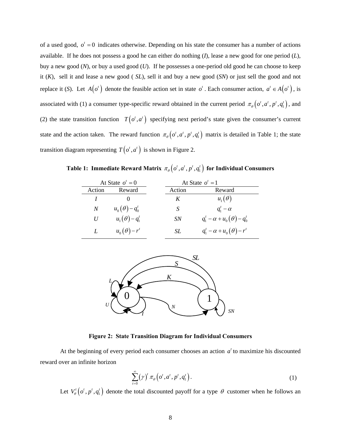of a used good,  $o^t = 0$  indicates otherwise. Depending on his state the consumer has a number of actions available. If he does not possess a good he can either do nothing (*I*), lease a new good for one period (*L*), buy a new good (*N*), or buy a used good (*U*). If he possesses a one-period old good he can choose to keep it (*K*), sell it and lease a new good ( *SL*), sell it and buy a new good (*SN*) or just sell the good and not replace it (*S*). Let  $A(o^t)$  denote the feasible action set in state  $o^t$ . Each consumer action,  $a^t \in A(o^t)$ , is associated with (1) a consumer type-specific reward obtained in the current period  $\pi_{\theta} (o^t, a^t, p^t, q_1^t)$ , and (2) the state transition function  $T(o^t, a^t)$  specifying next period's state given the consumer's current state and the action taken. The reward function  $\pi_{\theta}\left( o^t, a^t, p^t, q_1^t \right)$  matrix is detailed in Table 1; the state transition diagram representing  $T(o^t, a^t)$  is shown in Figure 2.

| At State $o^t = 0$ |                     | At State $o^t = 1$ |                                        |
|--------------------|---------------------|--------------------|----------------------------------------|
| Action             | Reward              | Action             | Reward                                 |
|                    |                     | K                  | $u_{1}(\theta)$                        |
| $\boldsymbol{N}$   | $u_0(\theta)-q_0^t$ | S                  | $q_1^t - \alpha$                       |
| U                  | $u_1(\theta)-q_1^t$ | <b>SN</b>          | $q_1^t - \alpha + u_0(\theta) - q_0^t$ |
|                    | $u_0(\theta)-r^t$   | SL                 | $q_1^t - \alpha + u_0(\theta) - r^t$   |

**Table 1: Immediate Reward Matrix**  $\pi_{\theta}\left( o^t, a^t, p^t, q_1^t \right)$  for Individual Consumers



**Figure 2: State Transition Diagram for Individual Consumers** 

At the beginning of every period each consumer chooses an action  $a<sup>t</sup>$  to maximize his discounted reward over an infinite horizon

$$
\sum_{t=0}^{\infty} (\gamma)^t \pi_{\theta} \left( o^t, a^t, p^t, q_1^t \right).
$$
 (1)

Let  $V_{\theta}$   $(o', p', q'_1)$  denote the total discounted payoff for a type  $\theta$  customer when he follows an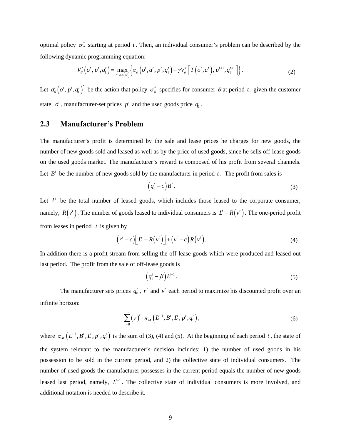optimal policy  $\sigma_{\theta}^{*}$  starting at period *t*. Then, an individual consumer's problem can be described by the following dynamic programming equation:

$$
V'_{\theta}\left(o', p', q'_1\right) = \max_{a' \in A(o')} \left\{ \pi_{\theta}\left(o', a', p', q'_1\right) + \gamma V'_{\theta}\left[T\left(o', a'\right), p'^{+1}, q'^{+1}_1\right] \right\}.
$$
 (2)

Let  $a_{\theta}^t (o^t, p^t, q_1^t)^*$  be the action that policy  $\sigma_{\theta}^*$  specifies for consumer  $\theta$  at period *t*, given the customer state  $o^t$ , manufacturer-set prices  $p^t$  and the used goods price  $q_1^t$ .

### **2.3 Manufacturer's Problem**

The manufacturer's profit is determined by the sale and lease prices he charges for new goods, the number of new goods sold and leased as well as by the price of used goods, since he sells off-lease goods on the used goods market. The manufacturer's reward is composed of his profit from several channels. Let  $B<sup>t</sup>$  be the number of new goods sold by the manufacturer in period  $t$ . The profit from sales is

$$
\left(q_0^t - c\right)B^t\,. \tag{3}
$$

Let  $L<sup>i</sup>$  be the total number of leased goods, which includes those leased to the corporate consumer, namely,  $R(v')$ . The number of goods leased to individual consumers is  $L' - R(v')$ . The one-period profit from leases in period *t* is given by

$$
(r'-c)\big[L'-R(v')\big]+(v'-c)R(v')\,.
$$
 (4)

In addition there is a profit stream from selling the off-lease goods which were produced and leased out last period. The profit from the sale of off-lease goods is

$$
\left(q_1^t - \beta\right)L^{t-1} \,. \tag{5}
$$

The manufacturer sets prices  $q_0^t$ ,  $r^t$  and  $v^t$  each period to maximize his discounted profit over an infinite horizon:

$$
\sum_{t=0}^{\infty} (\gamma)^{t} \cdot \pi_M \left( L^{-1}, B^t, L^t, p^t, q_1^t \right), \tag{6}
$$

where  $\pi_M(L^{-1}, B^t, L^t, p^t, q_1^t)$  is the sum of (3), (4) and (5). At the beginning of each period *t*, the state of the system relevant to the manufacturer's decision includes: 1) the number of used goods in his possession to be sold in the current period, and 2) the collective state of individual consumers. The number of used goods the manufacturer possesses in the current period equals the number of new goods leased last period, namely,  $L<sup>{-1}</sup>$ . The collective state of individual consumers is more involved, and additional notation is needed to describe it.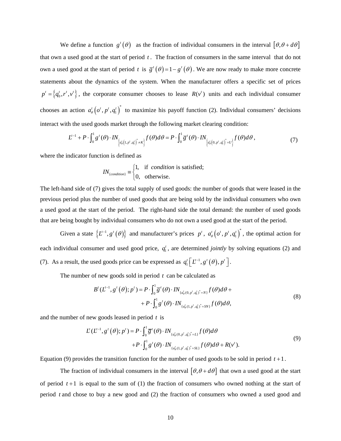We define a function  $g'(\theta)$  as the fraction of individual consumers in the interval  $[\theta, \theta + d\theta]$ that own a used good at the start of period *t* . The fraction of consumers in the same interval that do not own a used good at the start of period *t* is  $\overline{g}^{t}(\theta) = 1 - g^{t}(\theta)$ . We are now ready to make more concrete statements about the dynamics of the system. When the manufacturer offers a specific set of prices  ${p'} = \{q_0^t, r^t, v^t\}$ , the corporate consumer chooses to lease  $R(v^t)$  units and each individual consumer chooses an action  $a'_{\theta} (o', p', q'_1)^*$  to maximize his payoff function (2). Individual consumers' decisions interact with the used goods market through the following market clearing condition:

$$
L^{t-1} + P \cdot \int_0^1 g'(\theta) \cdot IN_{\left\{a_\theta'(1, p', q'_1)^\ast \neq K\right\}} f(\theta) d\theta = P \cdot \int_0^1 \overline{g}'(\theta) \cdot IN_{\left\{a_\theta'(0, p', q'_1)^\ast = U\right\}} f(\theta) d\theta,
$$
\n<sup>(7)</sup>

where the indicator function is defined as

$$
IN_{\{condition\}} \equiv \begin{cases} 1, & \text{if condition is satisfied;} \\ 0, & \text{otherwise.} \end{cases}
$$

The left-hand side of (7) gives the total supply of used goods: the number of goods that were leased in the previous period plus the number of used goods that are being sold by the individual consumers who own a used good at the start of the period. The right-hand side the total demand: the number of used goods that are being bought by individual consumers who do not own a used good at the start of the period.

Given a state  $\{L^{t-1}, g^t(\theta)\}\$ and manufacturer's prices  $p^t$ ,  $a^t_{\theta}\left(o^t, p^t, q_1^t\right)^*$ , the optimal action for each individual consumer and used good price,  $q_1^t$ , are determined *jointly* by solving equations (2) and (7). As a result, the used goods price can be expressed as  $q_1^t \left[ L^{-1}, g^t(\theta), p^t \right]$ .

The number of new goods sold in period *t* can be calculated as

$$
B^{t}(L^{t-1}, g^{t}(\theta); p^{t}) = P \cdot \int_{0}^{1} \overline{g}^{t}(\theta) \cdot IN_{\{a_{\theta}^{t}(0, p^{t}, q_{1}^{t})^{*} = N\}} f(\theta) d\theta + P \cdot \int_{0}^{1} g^{t}(\theta) \cdot IN_{\{a_{\theta}^{t}(1, p^{t}, q_{1}^{t})^{*} = SN\}} f(\theta) d\theta,
$$
\n
$$
(8)
$$

and the number of new goods leased in period *t* is

$$
L^{t}(L^{t-1}, g^{t}(\theta); p^{t}) = P \cdot \int_{0}^{1} \overline{g}^{t}(\theta) \cdot IN_{\{a_{\theta}^{t}(0, p^{t}, q_{1}^{t})^{*} = L\}} f(\theta) d\theta
$$
  
+
$$
P \cdot \int_{0}^{1} g^{t}(\theta) \cdot IN_{\{a_{\theta}^{t}(1, p^{t}, q_{1}^{t})^{*} = SL\}} f(\theta) d\theta + R(v^{t}).
$$
\n(9)

Equation (9) provides the transition function for the number of used goods to be sold in period  $t + 1$ .

The fraction of individual consumers in the interval  $[\theta, \theta + d\theta]$  that own a used good at the start of period *t* +1 is equal to the sum of (1) the fraction of consumers who owned nothing at the start of period *t* and chose to buy a new good and (2) the fraction of consumers who owned a used good and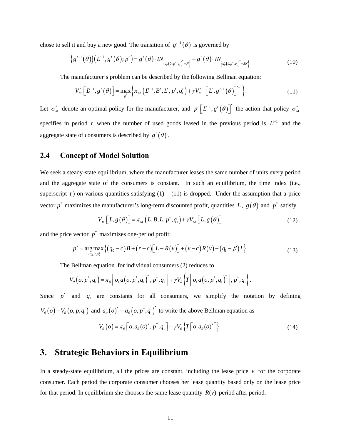chose to sell it and buy a new good. The transition of  $g^{t+1}(\theta)$  is governed by

$$
\left\{g^{t+1}(\theta)\right\}\left(L^{-1},g^{t}(\theta);p^{t}\right)=\overline{g}^{t}(\theta)\cdot IN_{\left[a_{\theta}^{t}(0,p^{t},q_{1}^{t})^{*}=N\right\}}+g^{t}(\theta)\cdot IN_{\left[a_{\theta}^{t}(1,p^{t},q_{1}^{t})^{*}=SN\right]}
$$
\n(10)

The manufacturer's problem can be described by the following Bellman equation:

$$
V'_{M}\left[L'^{-1}, g'(\theta)\right] = \max_{p'} \left\{ \pi_{M}\left(L'^{-1}, B', L', p', q'_{1}\right) + \gamma V'^{t+1}_{M}\left[L', g'^{t+1}(\theta)\right]^{t+1} \right\}
$$
(11)

Let  $\sigma_M^*$  denote an optimal policy for the manufacturer, and  $p' [L^{-1}, g'(\theta)]^*$  the action that policy  $\sigma_M^*$ specifies in period *t* when the number of used goods leased in the previous period is  $L^{-1}$  and the aggregate state of consumers is described by  $g^t(\theta)$ .

#### **2.4 Concept of Model Solution**

We seek a steady-state equilibrium, where the manufacturer leases the same number of units every period and the aggregate state of the consumers is constant. In such an equilibrium, the time index (i.e., superscript *t*) on various quantities satisfying  $(1) - (11)$  is dropped. Under the assumption that a price vector  $p^*$  maximizes the manufacturer's long-term discounted profit, quantities *L*,  $g(\theta)$  and  $p^*$  satisfy

$$
V_M\left[L, g(\theta)\right] = \pi_M\left(L, B, L, p^*, q_1\right) + \gamma V_M\left[L, g(\theta)\right] \tag{12}
$$

and the price vector  $p^*$  maximizes one-period profit:

$$
p^* = \underset{\{q_0, r, v\}}{\arg \max} \left\{ \left( q_0 - c \right) B + \left( r - c \right) \left[ L - R(v) \right] + \left( v - c \right) R(v) + \left( q_1 - \beta \right) L \right\}. \tag{13}
$$

The Bellman equation for individual consumers (2) reduces to

$$
V_{\theta}\left(o, p^{*}, q_{1}\right) = \pi_{\theta}\left[o, a\left(o, p^{*}, q_{1}\right)^{*}, p^{*}, q_{1}\right] + \gamma V_{\theta}\left\{T\left[o, a\left(o, p^{*}, q_{1}\right)^{*}\right], p^{*}, q_{1}\right\}.
$$

Since  $p^*$  and  $q_1$  are constants for all consumers, we simplify the notation by defining  $V_{\theta}(o) = V_{\theta}(o, p, q_1)$  and  $a_{\theta}(o)^* = a_{\theta}(o, p^*, q_1)$  to write the above Bellman equation as

$$
V_{\theta}(o) = \pi_{\theta}\Big[ o, a_{\theta}(o)^*, p^*, q_1\Big] + \gamma V_{\theta}\Big\{T\Big[ o, a_{\theta}(o)^*\Big]\Big\}.
$$
 (14)

## **3. Strategic Behaviors in Equilibrium**

In a steady-state equilibrium, all the prices are constant, including the lease price  $\nu$  for the corporate consumer. Each period the corporate consumer chooses her lease quantity based only on the lease price for that period. In equilibrium she chooses the same lease quantity  $R(v)$  period after period.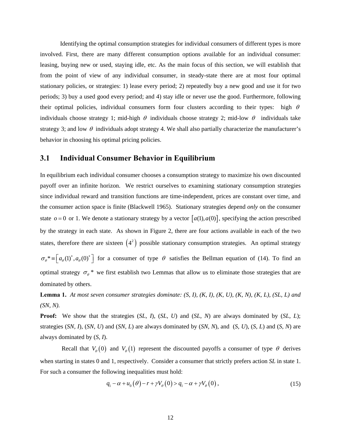Identifying the optimal consumption strategies for individual consumers of different types is more involved. First, there are many different consumption options available for an individual consumer: leasing, buying new or used, staying idle, etc. As the main focus of this section, we will establish that from the point of view of any individual consumer, in steady-state there are at most four optimal stationary policies, or strategies: 1) lease every period; 2) repeatedly buy a new good and use it for two periods; 3) buy a used good every period; and 4) stay idle or never use the good. Furthermore, following their optimal policies, individual consumers form four clusters according to their types: high  $\theta$ individuals choose strategy 1; mid-high  $\theta$  individuals choose strategy 2; mid-low  $\theta$  individuals take strategy 3; and low  $\theta$  individuals adopt strategy 4. We shall also partially characterize the manufacturer's behavior in choosing his optimal pricing policies.

#### **3.1 Individual Consumer Behavior in Equilibrium**

In equilibrium each individual consumer chooses a consumption strategy to maximize his own discounted payoff over an infinite horizon. We restrict ourselves to examining stationary consumption strategies since individual reward and transition functions are time-independent, prices are constant over time, and the consumer action space is finite (Blackwell 1965). Stationary strategies depend *only* on the consumer state  $o = 0$  or 1. We denote a stationary strategy by a vector  $[a(1), a(0)]$ , specifying the action prescribed by the strategy in each state. As shown in Figure 2, there are four actions available in each of the two states, therefore there are sixteen  $(4^2)$  possible stationary consumption strategies. An optimal strategy  $\sigma_{\theta}^* = \left[a_{\theta}(1)^*, a_{\theta}(0)^*\right]$  for a consumer of type  $\theta$  satisfies the Bellman equation of (14). To find an optimal strategy  $\sigma_{\theta}^*$  we first establish two Lemmas that allow us to eliminate those strategies that are dominated by others.

**Lemma 1.** *At most seven consumer strategies dominate: (S, I), (K, I), (K, U), (K, N), (K, L), (SL, L) and (SN, N).*

**Proof:** We show that the strategies (*SL, I*), (*SL, U*) and (*SL, N*) are always dominated by (*SL, L*); strategies (*SN, I*), (*SN, U*) and (*SN, L*) are always dominated by (*SN, N*), and (*S, U*), (*S, L*) and (*S, N*) are always dominated by (*S, I*).

Recall that  $V_{\theta}(0)$  and  $V_{\theta}(1)$  represent the discounted payoffs a consumer of type  $\theta$  derives when starting in states 0 and 1, respectively. Consider a consumer that strictly prefers action *SL* in state 1. For such a consumer the following inequalities must hold:

$$
q_1 - \alpha + u_0(\theta) - r + \gamma V_\theta(0) > q_1 - \alpha + \gamma V_\theta(0) \,,\tag{15}
$$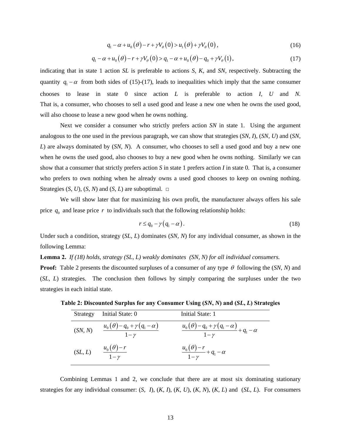$$
q_1 - \alpha + u_0(\theta) - r + \gamma V_{\theta}(0) > u_1(\theta) + \gamma V_{\theta}(0) \,, \tag{16}
$$

$$
q_1 - \alpha + u_0(\theta) - r + \gamma V_\theta(0) > q_1 - \alpha + u_0(\theta) - q_0 + \gamma V_\theta(1),
$$
\n(17)

indicating that in state 1 action *SL* is preferable to actions *S*, *K*, and *SN*, respectively. Subtracting the quantity  $q_1 - \alpha$  from both sides of (15)-(17), leads to inequalities which imply that the same consumer chooses to lease in state 0 since action *L* is preferable to action *I*, *U* and *N.*  That is, a consumer, who chooses to sell a used good and lease a new one when he owns the used good, will also choose to lease a new good when he owns nothing.

Next we consider a consumer who strictly prefers action *SN* in state 1. Using the argument analogous to the one used in the previous paragraph, we can show that strategies (*SN*, *I*), (*SN, U*) and (*SN, L*) are always dominated by (*SN, N*). A consumer, who chooses to sell a used good and buy a new one when he owns the used good, also chooses to buy a new good when he owns nothing. Similarly we can show that a consumer that strictly prefers action *S* in state 1 prefers action *I* in state 0. That is, a consumer who prefers to own nothing when he already owns a used good chooses to keep on owning nothing. Strategies  $(S, U)$ ,  $(S, N)$  and  $(S, L)$  are suboptimal.  $\square$ 

We will show later that for maximizing his own profit, the manufacturer always offers his sale price  $q_0$  and lease price  $r$  to individuals such that the following relationship holds:

$$
r \le q_0 - \gamma (q_1 - \alpha). \tag{18}
$$

Under such a condition, strategy (*SL, L*) dominates (*SN, N*) for any individual consumer, as shown in the following Lemma:

**Lemma 2.** *If (18) holds, strategy (SL, L) weakly dominates (SN, N) for all individual consumers.*

**Proof:** Table 2 presents the discounted surpluses of a consumer of any type  $\theta$  following the (*SN*, *N*) and (*SL*, *L*) strategies. The conclusion then follows by simply comparing the surpluses under the two strategies in each initial state.

| Strategy | Initial State: 0                                | Initial State: 1                                                 |
|----------|-------------------------------------------------|------------------------------------------------------------------|
| (SN, N)  | $u_0(\theta)-q_0+\gamma(q_1-\alpha)$<br>$1-\nu$ | $\frac{u_0(\theta)-q_0+\gamma(q_1-\alpha)}{1-\gamma}+q_1-\alpha$ |
| (SL, L)  | $u_0(\theta)-r$<br>$1-\nu$                      | $\frac{u_0(\theta)-r}{1-\gamma}+q_1-\alpha$                      |

**Table 2: Discounted Surplus for any Consumer Using (***SN***,** *N***) and (***SL***,** *L***) Strategies** 

 Combining Lemmas 1 and 2, we conclude that there are at most six dominating stationary strategies for any individual consumer: (*S, I*), (*K, I*), (*K, U*), (*K, N*), (*K, L*) and (*SL, L*). For consumers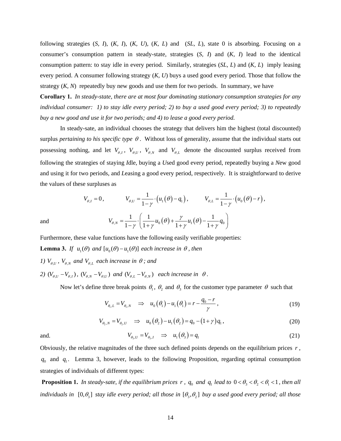following strategies (*S, I*), (*K, I*), (*K, U*), (*K, L*) and (*SL, L*), state 0 is absorbing. Focusing on a consumer's consumption pattern in steady-state, strategies (*S, I*) and (*K, I*) lead to the identical consumption pattern: to stay idle in every period. Similarly, strategies (*SL, L*) and (*K, L*) imply leasing every period. A consumer following strategy (*K, U*) buys a used good every period. Those that follow the strategy  $(K, N)$  repeatedly buy new goods and use them for two periods. In summary, we have

**Corollary 1.** *In steady-state, there are at most four dominating stationary consumption strategies for any individual consumer: 1) to stay idle every period; 2) to buy a used good every period; 3) to repeatedly buy a new good and use it for two periods; and 4) to lease a good every period.* 

 In steady-sate, an individual chooses the strategy that delivers him the highest (total discounted) surplus *pertaining to his specific type* θ . Without loss of generality, assume that the individual starts out possessing nothing, and let  $V_{\theta,I}$ ,  $V_{\theta,U}$ ,  $V_{\theta,N}$  and  $V_{\theta,L}$  denote the discounted surplus received from following the strategies of staying *I*dle, buying a *U*sed good every period, repeatedly buying a *N*ew good and using it for two periods, and *L*easing a good every period, respectively. It is straightforward to derive the values of these surpluses as

$$
V_{\theta,I} = 0, \t V_{\theta,U} = \frac{1}{1-\gamma} \cdot (u_1(\theta) - q_1), \t V_{\theta,L} = \frac{1}{1-\gamma} \cdot (u_0(\theta) - r),
$$
  
and  

$$
V_{\theta,N} = \frac{1}{1-\gamma} \cdot \left(\frac{1}{1+\gamma} u_0(\theta) + \frac{\gamma}{1+\gamma} u_1(\theta) - \frac{1}{1+\gamma} q_0\right)
$$

Furthermore, these value functions have the following easily verifiable properties: **Lemma 3.** *If*  $u_1(\theta)$  *and*  $[u_0(\theta) - u_1(\theta)]$  *each increase in*  $\theta$ *, then* 

- *1)*  $V_{\theta,U}$ ,  $V_{\theta,N}$  and  $V_{\theta,L}$  each increase in  $\theta$ ; and
- *2)*  $(V_{\theta,U} V_{\theta,I})$ ,  $(V_{\theta,N} V_{\theta,U})$  and  $(V_{\theta,L} V_{\theta,N})$  each increase in  $\theta$ .

Now let's define three break points  $\theta_1$ ,  $\theta_2$  and  $\theta_3$  for the customer type parameter  $\theta$  such that

$$
V_{\theta_1, L} = V_{\theta_1, N} \implies u_0(\theta_1) - u_1(\theta_1) = r - \frac{q_0 - r}{\gamma},
$$
\n(19)

$$
V_{\theta_2,N} = V_{\theta_2,U} \quad \Rightarrow \quad u_0(\theta_2) - u_1(\theta_2) = q_0 - (1+\gamma)q_1, \tag{20}
$$

and. 
$$
V_{\theta_3, U} = V_{\theta_3, I} \Rightarrow u_1(\theta_3) = q_1
$$
 (21)

Obviously, the relative magnitudes of the three such defined points depends on the equilibrium prices *r* ,  $q_0$  and  $q_1$ . Lemma 3, however, leads to the following Proposition, regarding optimal consumption strategies of individuals of different types:

**Proposition 1.** *In steady-sate, if the equilibrium prices r,*  $q_0$  *and*  $q_1$  *lead to*  $0 < \theta_3 < \theta_2 < \theta_1 < 1$ *, then all individuals in*  $[0, \theta_3]$  *stay idle every period; all those in*  $[\theta_3, \theta_2]$  *buy a used good every period; all those*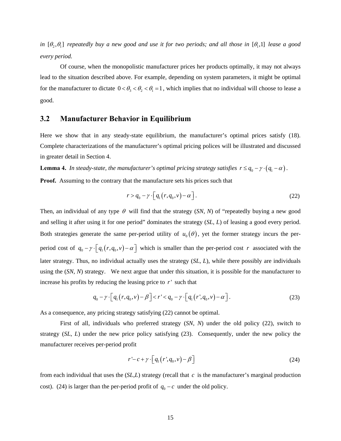*in*  $[\theta_2, \theta_1]$  repeatedly buy a new good and use it for two periods; and all those in  $[\theta_1, 1]$  lease a good *every period.* 

 Of course, when the monopolistic manufacturer prices her products optimally, it may not always lead to the situation described above. For example, depending on system parameters, it might be optimal for the manufacturer to dictate  $0 < \theta_3 < \theta_2 < \theta_1 = 1$ , which implies that no individual will choose to lease a good.

#### **3.2 Manufacturer Behavior in Equilibrium**

Here we show that in any steady-state equilibrium, the manufacturer's optimal prices satisfy (18). Complete characterizations of the manufacturer's optimal pricing polices will be illustrated and discussed in greater detail in Section 4.

**Lemma 4.** *In steady-state, the manufacturer's optimal pricing strategy satisfies*  $r \leq q_0 - \gamma \cdot (q_1 - \alpha)$ .

**Proof.** Assuming to the contrary that the manufacture sets his prices such that

$$
r > q_0 - \gamma \cdot \left[ q_1(r, q_0, v) - \alpha \right]. \tag{22}
$$

Then, an individual of any type  $\theta$  will find that the strategy (*SN*, *N*) of "repeatedly buying a new good and selling it after using it for one period" dominates the strategy (*SL*, *L*) of leasing a good every period. Both strategies generate the same per-period utility of  $u_0(\theta)$ , yet the former strategy incurs the perperiod cost of  $q_0 - \gamma \cdot \lceil q_1(r, q_0, v) - \alpha \rceil$  which is smaller than the per-period cost *r* associated with the later strategy. Thus, no individual actually uses the strategy (*SL*, *L*), while there possibly are individuals using the (*SN*, *N*) strategy. We next argue that under this situation, it is possible for the manufacturer to increase his profits by reducing the leasing price to  $r'$  such that

$$
q_0 - \gamma \cdot \left[ q_1(r, q_0, v) - \beta \right] < r' < q_0 - \gamma \cdot \left[ q_1(r', q_0, v) - \alpha \right]. \tag{23}
$$

As a consequence, any pricing strategy satisfying (22) cannot be optimal.

First of all, individuals who preferred strategy (*SN*, *N*) under the old policy (22), switch to strategy (*SL*, *L*) under the new price policy satisfying (23). Consequently, under the new policy the manufacturer receives per-period profit

$$
r' - c + \gamma \cdot \left[ q_1(r', q_0, v) - \beta \right] \tag{24}
$$

from each individual that uses the (*SL*,*L*) strategy (recall that *c* is the manufacturer's marginal production cost). (24) is larger than the per-period profit of  $q_0 - c$  under the old policy.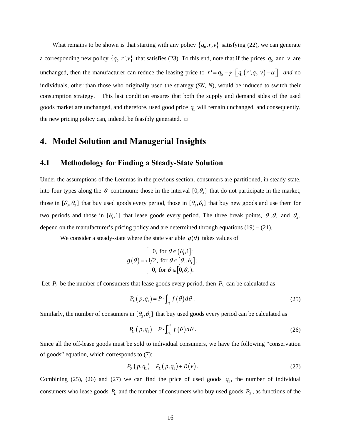What remains to be shown is that starting with any policy  $\{q_0, r, v\}$  satisfying (22), we can generate a corresponding new policy  $\{q_0, r', v\}$  that satisfies (23). To this end, note that if the prices  $q_0$  and  $v$  are unchanged, then the manufacturer can reduce the leasing price to  $r' = q_0 - \gamma \cdot \left[ q_1(r', q_0, v) - \alpha \right]$  *and* no individuals, other than those who originally used the strategy (*SN*, *N*), would be induced to switch their consumption strategy. This last condition ensures that both the supply and demand sides of the used goods market are unchanged, and therefore, used good price  $q_1$  will remain unchanged, and consequently, the new pricing policy can, indeed, be feasibly generated. **□**

## **4. Model Solution and Managerial Insights**

## **4.1 Methodology for Finding a Steady-State Solution**

Under the assumptions of the Lemmas in the previous section, consumers are partitioned, in steady-state, into four types along the  $\theta$  continuum: those in the interval  $[0, \theta_1]$  that do not participate in the market, those in  $[\theta_3, \theta_2]$  that buy used goods every period, those in  $[\theta_2, \theta_1]$  that buy new goods and use them for two periods and those in  $[\theta_1,1]$  that lease goods every period. The three break points,  $\theta_1, \theta_2$  and  $\theta_3$ , depend on the manufacturer's pricing policy and are determined through equations  $(19) - (21)$ .

We consider a steady-state where the state variable  $g(\theta)$  takes values of

$$
g(\theta) = \begin{cases} 0, \text{ for } \theta \in (\theta_1, 1]; \\ 1/2, \text{ for } \theta \in [\theta_2, \theta_1]; \\ 0, \text{ for } \theta \in [0, \theta_2). \end{cases}
$$

Let  $P_L$  be the number of consumers that lease goods every period, then  $P_L$  can be calculated as

$$
P_{L}(p,q_{1}) = P \cdot \int_{a_{1}}^{1} f(\theta) d\theta.
$$
 (25)

Similarly, the number of consumers in  $[\theta_3, \theta_2]$  that buy used goods every period can be calculated as

$$
P_U(p,q_1) = P \cdot \int_{\theta_3}^{\theta_2} f(\theta) d\theta \,. \tag{26}
$$

Since all the off-lease goods must be sold to individual consumers, we have the following "conservation of goods" equation, which corresponds to (7):

$$
P_U(p,q_1) = P_L(p,q_1) + R(v).
$$
\n(27)

Combining (25), (26) and (27) we can find the price of used goods  $q_1$ , the number of individual consumers who lease goods  $P_L$  and the number of consumers who buy used goods  $P_U$ , as functions of the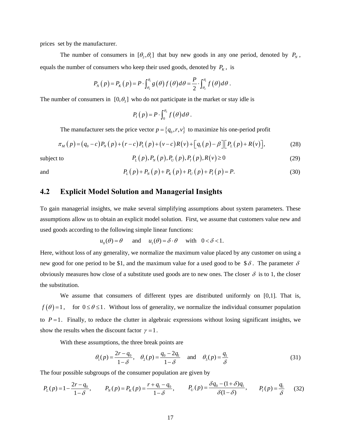prices set by the manufacturer.

The number of consumers in  $[\theta_1, \theta_1]$  that buy new goods in any one period, denoted by  $P_N$ , equals the number of consumers who keep their used goods, denoted by  $P_K$ , is

$$
P_{N}(p) = P_{K}(p) = P \cdot \int_{\theta_{2}}^{\theta_{1}} g(\theta) f(\theta) d\theta = \frac{P}{2} \cdot \int_{\theta_{2}}^{\theta_{1}} f(\theta) d\theta.
$$

The number of consumers in  $[0, \theta_3]$  who do not participate in the market or stay idle is

$$
P_I(p) = P \cdot \int_0^{\theta_3} f(\theta) d\theta.
$$

The manufacturer sets the price vector  $p = \{q_0, r, v\}$  to maximize his one-period profit

$$
\pi_M(p) = (q_0 - c) P_N(p) + (r - c) P_L(p) + (v - c) R(v) + [q_1(p) - \beta] [P_L(p) + R(v)], \tag{28}
$$

subject to 
$$
P_{L}(p), P_{N}(p), P_{U}(p), P_{I}(p), R(v) \ge 0
$$
 (29)

$$
\mathbf{a}^{\text{r}}
$$

and 
$$
P_{L}(p) + P_{N}(p) + P_{K}(p) + P_{U}(p) + P_{I}(p) = P.
$$
 (30)

## **4.2 Explicit Model Solution and Managerial Insights**

To gain managerial insights, we make several simplifying assumptions about system parameters. These assumptions allow us to obtain an explicit model solution. First, we assume that customers value new and used goods according to the following simple linear functions:

$$
u_0(\theta) = \theta
$$
 and  $u_1(\theta) = \delta \cdot \theta$  with  $0 < \delta < 1$ .

Here, without loss of any generality, we normalize the maximum value placed by any customer on using a new good for one period to be \$1, and the maximum value for a used good to be \$ $\delta$ . The parameter  $\delta$ obviously measures how close of a substitute used goods are to new ones. The closer  $\delta$  is to 1, the closer the substitution.

We assume that consumers of different types are distributed uniformly on [0,1]. That is,  $f(\theta) = 1$ , for  $0 \le \theta \le 1$ . Without loss of generality, we normalize the individual consumer population to  $P=1$ . Finally, to reduce the clutter in algebraic expressions without losing significant insights, we show the results when the discount factor  $\gamma = 1$ .

With these assumptions, the three break points are

$$
\theta_1(p) = \frac{2r - q_0}{1 - \delta}, \quad \theta_2(p) = \frac{q_0 - 2q_1}{1 - \delta} \quad \text{and} \quad \theta_3(p) = \frac{q_1}{\delta}
$$
\n(31)

The four possible subgroups of the consumer population are given by

$$
P_L(p) = 1 - \frac{2r - q_0}{1 - \delta}, \qquad P_N(p) = P_K(p) = \frac{r + q_1 - q_0}{1 - \delta}, \qquad P_U(p) = \frac{\delta q_0 - (1 + \delta) q_1}{\delta (1 - \delta)}, \qquad P_I(p) = \frac{q_1}{\delta} \tag{32}
$$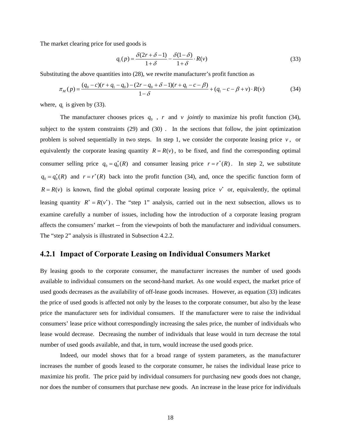The market clearing price for used goods is

$$
q_1(p) = \frac{\delta(2r + \delta - 1)}{1 + \delta} - \frac{\delta(1 - \delta)}{1 + \delta} \cdot R(v)
$$
\n(33)

Substituting the above quantities into (28), we rewrite manufacturer's profit function as

$$
\pi_M(p) = \frac{(q_0 - c)(r + q_1 - q_0) - (2r - q_0 + \delta - 1)(r + q_1 - c - \beta)}{1 - \delta} + (q_1 - c - \beta + \nu) \cdot R(\nu) \tag{34}
$$

where,  $q_1$  is given by (33).

The manufacturer chooses prices  $q_0$ ,  $r$  and  $v$  *jointly* to maximize his profit function (34), subject to the system constraints (29) and (30) . In the sections that follow, the joint optimization problem is solved sequentially in two steps. In step 1, we consider the corporate leasing price  $v$ , or equivalently the corporate leasing quantity  $R = R(v)$ , to be fixed, and find the corresponding optimal consumer selling price  $q_0 = q_0^*(R)$  and consumer leasing price  $r = r^*(R)$ . In step 2, we substitute  $q_0 = q_0^*(R)$  and  $r = r^*(R)$  back into the profit function (34), and, once the specific function form of  $R = R(v)$  is known, find the global optimal corporate leasing price  $v^*$  or, equivalently, the optimal leasing quantity  $R^* = R(v^*)$ . The "step 1" analysis, carried out in the next subsection, allows us to examine carefully a number of issues, including how the introduction of a corporate leasing program affects the consumers' market -- from the viewpoints of both the manufacturer and individual consumers. The "step 2" analysis is illustrated in Subsection 4.2.2.

#### **4.2.1 Impact of Corporate Leasing on Individual Consumers Market**

By leasing goods to the corporate consumer, the manufacturer increases the number of used goods available to individual consumers on the second-hand market. As one would expect, the market price of used goods decreases as the availability of off-lease goods increases. However, as equation (33) indicates the price of used goods is affected not only by the leases to the corporate consumer, but also by the lease price the manufacturer sets for individual consumers. If the manufacturer were to raise the individual consumers' lease price without correspondingly increasing the sales price, the number of individuals who lease would decrease. Decreasing the number of individuals that lease would in turn decrease the total number of used goods available, and that, in turn, would increase the used goods price.

Indeed, our model shows that for a broad range of system parameters, as the manufacturer increases the number of goods leased to the corporate consumer, he raises the individual lease price to maximize his profit. The price paid by individual consumers for purchasing new goods does not change, nor does the number of consumers that purchase new goods. An increase in the lease price for individuals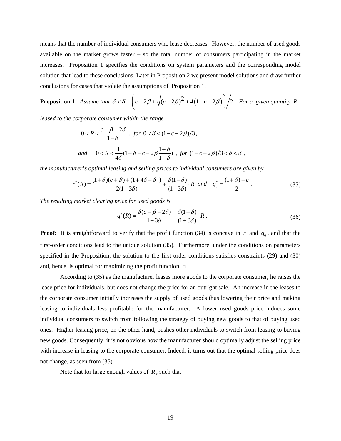means that the number of individual consumers who lease decreases. However, the number of used goods available on the market grows faster – so the total number of consumers participating in the market increases. Proposition 1 specifies the conditions on system parameters and the corresponding model solution that lead to these conclusions. Later in Proposition 2 we present model solutions and draw further conclusions for cases that violate the assumptions of Proposition 1.

**Proposition 1:** Assume that 
$$
\delta < \overline{\delta} \equiv \left( c - 2\beta + \sqrt{(c - 2\beta)^2 + 4(1 - c - 2\beta)} \right) / 2
$$
. For a given quantity R

*leased to the corporate consumer within the range* 

$$
0 < R < \frac{c + \beta + 2\delta}{1 - \delta} \quad \text{for } 0 < \delta < (1 - c - 2\beta)/3,
$$
\n
$$
\text{and} \quad 0 < R < \frac{1}{4\delta} (1 + \delta - c - 2\beta \frac{1 + \delta}{1 - \delta}) \quad \text{for } (1 - c - 2\beta)/3 < \delta < \overline{\delta} \quad \text{,}
$$

*the manufacturer's optimal leasing and selling prices to individual consumers are given by* 

$$
r^*(R) = \frac{(1+\delta)(c+\beta) + (1+4\delta - \delta^2)}{2(1+3\delta)} + \frac{\delta(1-\delta)}{(1+3\delta)} \cdot R \quad \text{and} \quad q_0^* = \frac{(1+\delta) + c}{2} \,. \tag{35}
$$

*The resulting market clearing price for used goods is* 

$$
q_1^*(R) = \frac{\delta(c + \beta + 2\delta)}{1 + 3\delta} - \frac{\delta(1 - \delta)}{(1 + 3\delta)} \cdot R \,,\tag{36}
$$

**Proof:** It is straightforward to verify that the profit function (34) is concave in *r* and  $q_0$ , and that the first-order conditions lead to the unique solution (35). Furthermore, under the conditions on parameters specified in the Proposition, the solution to the first-order conditions satisfies constraints (29) and (30) and, hence, is optimal for maximizing the profit function. **□**

 According to (35) as the manufacturer leases more goods to the corporate consumer, he raises the lease price for individuals, but does not change the price for an outright sale. An increase in the leases to the corporate consumer initially increases the supply of used goods thus lowering their price and making leasing to individuals less profitable for the manufacturer. A lower used goods price induces some individual consumers to switch from following the strategy of buying new goods to that of buying used ones. Higher leasing price, on the other hand, pushes other individuals to switch from leasing to buying new goods. Consequently, it is not obvious how the manufacturer should optimally adjust the selling price with increase in leasing to the corporate consumer. Indeed, it turns out that the optimal selling price does not change, as seen from (35).

Note that for large enough values of *R* , such that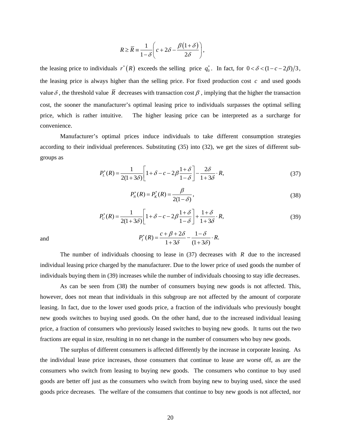$$
R \ge \overline{R} = \frac{1}{1 - \delta} \left( c + 2\delta - \frac{\beta (1 + \delta)}{2\delta} \right),
$$

the leasing price to individuals  $r^*(R)$  exceeds the selling price  $q_0^*$ . In fact, for  $0 < \delta < (1 - c - 2\beta)/3$ , the leasing price is always higher than the selling price. For fixed production cost *c* and used goods value  $\delta$ , the threshold value  $\overline{R}$  decreases with transaction cost  $\beta$ , implying that the higher the transaction cost, the sooner the manufacturer's optimal leasing price to individuals surpasses the optimal selling price, which is rather intuitive. The higher leasing price can be interpreted as a surcharge for convenience.

 Manufacturer's optimal prices induce individuals to take different consumption strategies according to their individual preferences. Substituting (35) into (32), we get the sizes of different subgroups as

$$
P_L^*(R) = \frac{1}{2(1+3\delta)} \left[ 1 + \delta - c - 2\beta \frac{1+\delta}{1-\delta} \right] - \frac{2\delta}{1+3\delta} \cdot R,\tag{37}
$$

$$
P_N^*(R) = P_K^*(R) = \frac{\beta}{2(1-\delta)},
$$
\n(38)

$$
P_U^*(R) = \frac{1}{2(1+3\delta)} \left[ 1 + \delta - c - 2\beta \frac{1+\delta}{1-\delta} \right] + \frac{1+\delta}{1+3\delta} \cdot R,
$$
\n(39)

and

The number of individuals choosing to lease in 
$$
(37)
$$
 decreases with *R* due to the increased individual testing price charged by the manufacturer. Due to the lower price of used goods the number of individuals buying them in (39) increases while the number of individuals choosing to stay idle decreases.

 $P_I^*(R) = \frac{c + \beta + 2\delta}{1 + 3\delta} - \frac{1 - \delta}{(1 + 3\delta)} \cdot R.$ 

As can be seen from (38) the number of consumers buying new goods is not affected. This, however, does not mean that individuals in this subgroup are not affected by the amount of corporate leasing. In fact, due to the lower used goods price, a fraction of the individuals who previously bought new goods switches to buying used goods. On the other hand, due to the increased individual leasing price, a fraction of consumers who previously leased switches to buying new goods. It turns out the two fractions are equal in size, resulting in no net change in the number of consumers who buy new goods.

 The surplus of different consumers is affected differently by the increase in corporate leasing. As the individual lease price increases, those consumers that continue to lease are worse off, as are the consumers who switch from leasing to buying new goods. The consumers who continue to buy used goods are better off just as the consumers who switch from buying new to buying used, since the used goods price decreases. The welfare of the consumers that continue to buy new goods is not affected, nor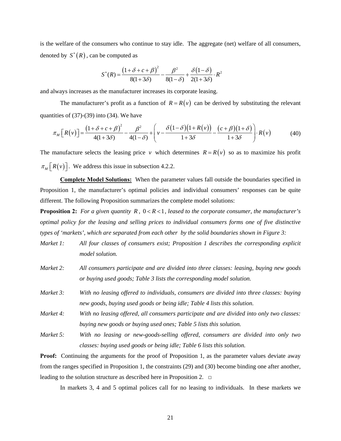is the welfare of the consumers who continue to stay idle. The aggregate (net) welfare of all consumers, denoted by  $S^*(R)$ , can be computed as

$$
S^*(R) = \frac{(1+\delta+c+\beta)^2}{8(1+3\delta)} - \frac{\beta^2}{8(1-\delta)} + \frac{\delta(1-\delta)}{2(1+3\delta)} \cdot R^2
$$

and always increases as the manufacturer increases its corporate leasing.

The manufacturer's profit as a function of  $R = R(v)$  can be derived by substituting the relevant quantities of  $(37)-(39)$  into  $(34)$ . We have

$$
\pi_M\left[R(v)\right] = \frac{\left(1+\delta+c+\beta\right)^2}{4(1+3\delta)} - \frac{\beta^2}{4(1-\delta)} + \left(v - \frac{\delta\left(1-\delta\right)\left(1+R(v)\right)}{1+3\delta} - \frac{\left(c+\beta\right)\left(1+\delta\right)}{1+3\delta}\right) \cdot R(v) \tag{40}
$$

The manufacture selects the leasing price *v* which determines  $R = R(v)$  so as to maximize his profit  $\pi_M \lceil R(v) \rceil$ . We address this issue in subsection 4.2.2.

**Complete Model Solutions:** When the parameter values fall outside the boundaries specified in Proposition 1, the manufacturer's optimal policies and individual consumers' responses can be quite different. The following Proposition summarizes the complete model solutions:

**Proposition 2:** For a given quantity  $R$ ,  $0 < R < 1$ , leased to the corporate consumer, the manufacturer's *optimal policy for the leasing and selling prices to individual consumers forms one of five distinctive types of 'markets', which are separated from each other by the solid boundaries shown in Figure 3:* 

- *Market 1: All four classes of consumers exist; Proposition 1 describes the corresponding explicit model solution.*
- *Market 2: All consumers participate and are divided into three classes: leasing, buying new goods or buying used goods; Table 3 lists the corresponding model solution.*
- *Market 3: With no leasing offered to individuals, consumers are divided into three classes: buying new goods, buying used goods or being idle; Table 4 lists this solution.*
- *Market 4: With no leasing offered, all consumers participate and are divided into only two classes: buying new goods or buying used ones; Table 5 lists this solution.*
- *Market 5: With no leasing or new-goods-selling offered, consumers are divided into only two classes: buying used goods or being idle; Table 6 lists this solution.*

**Proof:** Continuing the arguments for the proof of Proposition 1, as the parameter values deviate away from the ranges specified in Proposition 1, the constraints (29) and (30) become binding one after another, leading to the solution structure as described here in Proposition 2. **□**

In markets 3, 4 and 5 optimal polices call for no leasing to individuals. In these markets we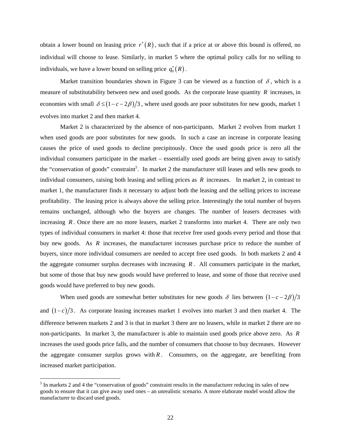obtain a lower bound on leasing price  $r^*(R)$ , such that if a price at or above this bound is offered, no individual will choose to lease. Similarly, in market 5 where the optimal policy calls for no selling to individuals, we have a lower bound on selling price  $q_0^*(R)$ .

Market transition boundaries shown in Figure 3 can be viewed as a function of  $\delta$ , which is a measure of substitutability between new and used goods. As the corporate lease quantity *R* increases, in economies with small  $\delta \leq (1 - c - 2\beta)/3$ , where used goods are poor substitutes for new goods, market 1 evolves into market 2 and then market 4.

Market 2 is characterized by the absence of non-participants. Market 2 evolves from market 1 when used goods are poor substitutes for new goods. In such a case an increase in corporate leasing causes the price of used goods to decline precipitously. Once the used goods price is zero all the individual consumers participate in the market – essentially used goods are being given away to satisfy the "conservation of goods" constraint<sup>5</sup>. In market 2 the manufacturer still leases and sells new goods to individual consumers, raising both leasing and selling prices as *R* increases. In market 2, in contrast to market 1, the manufacturer finds it necessary to adjust both the leasing and the selling prices to increase profitability. The leasing price is always above the selling price. Interestingly the total number of buyers remains unchanged, although who the buyers are changes. The number of leasers decreases with increasing *R*. Once there are no more leasers, market 2 transforms into market 4. There are only two types of individual consumers in market 4: those that receive free used goods every period and those that buy new goods. As *R* increases, the manufacturer increases purchase price to reduce the number of buyers, since more individual consumers are needed to accept free used goods. In both markets 2 and 4 the aggregate consumer surplus decreases with increasing *R* . All consumers participate in the market, but some of those that buy new goods would have preferred to lease, and some of those that receive used goods would have preferred to buy new goods.

When used goods are somewhat better substitutes for new goods  $\delta$  lies between  $(1 - c - 2\beta)/3$ and  $(1-c)/3$ . As corporate leasing increases market 1 evolves into market 3 and then market 4. The difference between markets 2 and 3 is that in market 3 there are no leasers, while in market 2 there are no non-participants. In market 3, the manufacturer is able to maintain used goods price above zero. As *R* increases the used goods price falls, and the number of consumers that choose to buy decreases. However the aggregate consumer surplus grows with  $R$ . Consumers, on the aggregate, are benefiting from increased market participation.

 $\overline{a}$ 

 $<sup>5</sup>$  In markets 2 and 4 the "conservation of goods" constraint results in the manufacturer reducing its sales of new</sup> goods to ensure that it can give away used ones – an unrealistic scenario. A more elaborate model would allow the manufacturer to discard used goods.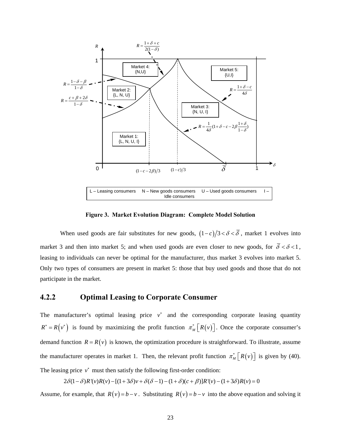

**Figure 3. Market Evolution Diagram: Complete Model Solution** 

When used goods are fair substitutes for new goods,  $(1-c)/3 < \delta < \overline{\delta}$ , market 1 evolves into market 3 and then into market 5; and when used goods are even closer to new goods, for  $\overline{\delta} < \delta < 1$ , leasing to individuals can never be optimal for the manufacturer, thus market 3 evolves into market 5. Only two types of consumers are present in market 5: those that buy used goods and those that do not participate in the market.

### **4.2.2 Optimal Leasing to Corporate Consumer**

The manufacturer's optimal leasing price  $v^*$  and the corresponding corporate leasing quantity  $R^* = R(v^*)$  is found by maximizing the profit function  $\pi_M^* [R(v)]$ . Once the corporate consumer's demand function  $R = R(v)$  is known, the optimization procedure is straightforward. To illustrate, assume the manufacturer operates in market 1. Then, the relevant profit function  $\pi_M^* [R(v)]$  is given by (40). The leasing price  $v^*$  must then satisfy the following first-order condition:

 $2\delta(1-\delta)R'(v)R(v) - [(1+3\delta)v + \delta(\delta-1)-(1+\delta)(c+\beta)]R'(v) - (1+3\delta)R(v) = 0$ 

Assume, for example, that  $R(v) = b - v$ . Substituting  $R(v) = b - v$  into the above equation and solving it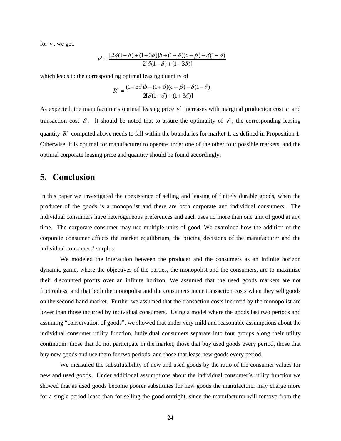for *v* , we get,

$$
v^* = \frac{[2\delta(1-\delta) + (1+3\delta)]b + (1+\delta)(c+\beta) + \delta(1-\delta)}{2[\delta(1-\delta) + (1+3\delta)]}
$$

which leads to the corresponding optimal leasing quantity of

$$
R^* = \frac{(1+3\delta)b - (1+\delta)(c+\beta) - \delta(1-\delta)}{2[\delta(1-\delta) + (1+3\delta)]}
$$

As expected, the manufacturer's optimal leasing price *v*<sup>∗</sup> increases with marginal production cost *c* and transaction cost  $\beta$ . It should be noted that to assure the optimality of  $v^*$ , the corresponding leasing quantity  $R^*$  computed above needs to fall within the boundaries for market 1, as defined in Proposition 1. Otherwise, it is optimal for manufacturer to operate under one of the other four possible markets, and the optimal corporate leasing price and quantity should be found accordingly.

## **5. Conclusion**

In this paper we investigated the coexistence of selling and leasing of finitely durable goods, when the producer of the goods is a monopolist and there are both corporate and individual consumers. The individual consumers have heterogeneous preferences and each uses no more than one unit of good at any time. The corporate consumer may use multiple units of good. We examined how the addition of the corporate consumer affects the market equilibrium, the pricing decisions of the manufacturer and the individual consumers' surplus.

We modeled the interaction between the producer and the consumers as an infinite horizon dynamic game, where the objectives of the parties, the monopolist and the consumers, are to maximize their discounted profits over an infinite horizon. We assumed that the used goods markets are not frictionless, and that both the monopolist and the consumers incur transaction costs when they sell goods on the second-hand market. Further we assumed that the transaction costs incurred by the monopolist are lower than those incurred by individual consumers. Using a model where the goods last two periods and assuming "conservation of goods", we showed that under very mild and reasonable assumptions about the individual consumer utility function, individual consumers separate into four groups along their utility continuum: those that do not participate in the market, those that buy used goods every period, those that buy new goods and use them for two periods, and those that lease new goods every period.

We measured the substitutability of new and used goods by the ratio of the consumer values for new and used goods. Under additional assumptions about the individual consumer's utility function we showed that as used goods become poorer substitutes for new goods the manufacturer may charge more for a single-period lease than for selling the good outright, since the manufacturer will remove from the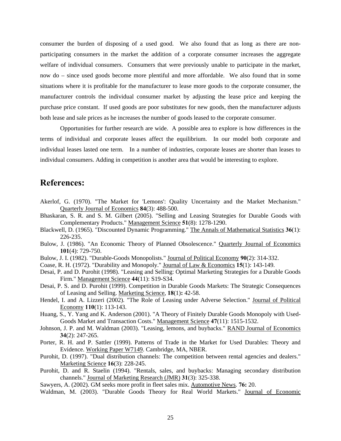consumer the burden of disposing of a used good. We also found that as long as there are nonparticipating consumers in the market the addition of a corporate consumer increases the aggregate welfare of individual consumers. Consumers that were previously unable to participate in the market, now do – since used goods become more plentiful and more affordable. We also found that in some situations where it is profitable for the manufacturer to lease more goods to the corporate consumer, the manufacturer controls the individual consumer market by adjusting the lease price and keeping the purchase price constant. If used goods are poor substitutes for new goods, then the manufacturer adjusts both lease and sale prices as he increases the number of goods leased to the corporate consumer.

Opportunities for further research are wide. A possible area to explore is how differences in the terms of individual and corporate leases affect the equilibrium. In our model both corporate and individual leases lasted one term. In a number of industries, corporate leases are shorter than leases to individual consumers. Adding in competition is another area that would be interesting to explore.

## **References:**

- Akerlof, G. (1970). "The Market for 'Lemons': Quality Uncertainty and the Market Mechanism." Quarterly Journal of Economics **84**(3): 488-500.
- Bhaskaran, S. R. and S. M. Gilbert (2005). "Selling and Leasing Strategies for Durable Goods with Complementary Products." Management Science **51**(8): 1278-1290.
- Blackwell, D. (1965). "Discounted Dynamic Programming." The Annals of Mathematical Statistics **36**(1): 226-235.
- Bulow, J. (1986). "An Economic Theory of Planned Obsolescence." Quarterly Journal of Economics **101**(4): 729-750.
- Bulow, J. I. (1982). "Durable-Goods Monopolists." Journal of Political Economy **90**(2): 314-332.
- Coase, R. H. (1972). "Durability and Monopoly." Journal of Law & Economics **15**(1): 143-149.
- Desai, P. and D. Purohit (1998). "Leasing and Selling: Optimal Marketing Strategies for a Durable Goods Firm." Management Science **44**(11): S19-S34.
- Desai, P. S. and D. Purohit (1999). Competition in Durable Goods Markets: The Strategic Consequences of Leasing and Selling. Marketing Science, **18**(1)**:** 42-58.
- Hendel, I. and A. Lizzeri (2002). "The Role of Leasing under Adverse Selection." Journal of Political Economy **110**(1): 113-143.
- Huang, S., Y. Yang and K. Anderson (2001). "A Theory of Finitely Durable Goods Monopoly with Used-Goods Market and Transaction Costs." Management Science **47**(11): 1515-1532.
- Johnson, J. P. and M. Waldman (2003). "Leasing, lemons, and buybacks." RAND Journal of Economics **34**(2): 247-265.
- Porter, R. H. and P. Sattler (1999). Patterns of Trade in the Market for Used Durables: Theory and Evidence. Working Paper W7149. Cambridge, MA, NBER.
- Purohit, D. (1997). "Dual distribution channels: The competition between rental agencies and dealers." Marketing Science **16**(3): 228-245.
- Purohit, D. and R. Staelin (1994). "Rentals, sales, and buybacks: Managing secondary distribution channels." Journal of Marketing Research (JMR) **31**(3): 325-338.
- Sawyers, A. (2002). GM seeks more profit in fleet sales mix. Automotive News. **76:** 20.
- Waldman, M. (2003). "Durable Goods Theory for Real World Markets." Journal of Economic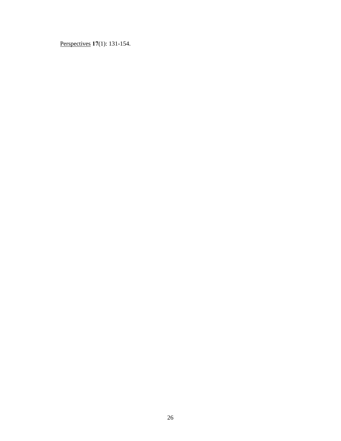Perspectives **17**(1): 131-154.